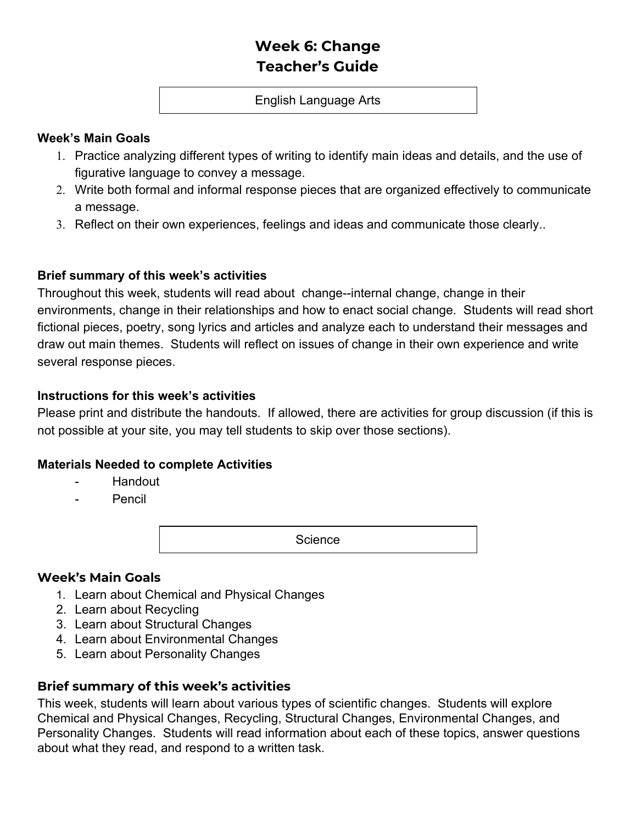# **Week 6: Change Teacher's Guide**

#### English Language Arts

#### **Week's Main Goals**

- 1. Practice analyzing different types of writing to identify main ideas and details, and the use of figurative language to convey a message.
- 2. Write both formal and informal response pieces that are organized effectively to communicate a message.
- 3. Reflect on their own experiences, feelings and ideas and communicate those clearly..

### **Brief summary of this week's activities**

Throughout this week, students will read about change--internal change, change in their environments, change in their relationships and how to enact social change. Students will read short fictional pieces, poetry, song lyrics and articles and analyze each to understand their messages and draw out main themes. Students will reflect on issues of change in their own experience and write several response pieces.

#### **Instructions for this week's activities**

Please print and distribute the handouts. If allowed, there are activities for group discussion (if this is not possible at your site, you may tell students to skip over those sections).

### **Materials Needed to complete Activities**

- Handout
- **Pencil**

**Science** 

### **Week's Main Goals**

- 1. Learn about Chemical and Physical Changes
- 2. Learn about Recycling
- 3. Learn about Structural Changes
- 4. Learn about Environmental Changes
- 5. Learn about Personality Changes

### **Brief summary of this week's activities**

This week, students will learn about various types of scientific changes. Students will explore Chemical and Physical Changes, Recycling, Structural Changes, Environmental Changes, and Personality Changes. Students will read information about each of these topics, answer questions about what they read, and respond to a written task.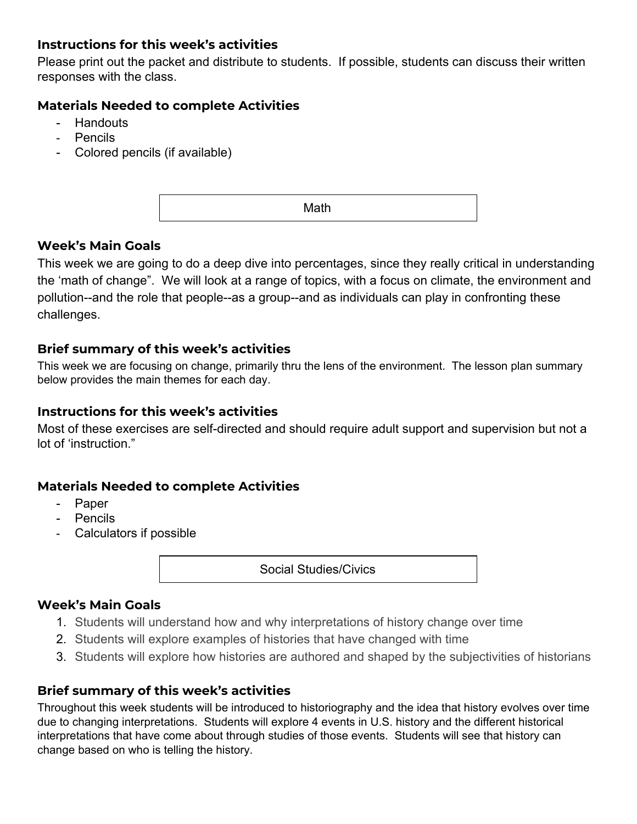# **Instructions for this week's activities**

Please print out the packet and distribute to students. If possible, students can discuss their written responses with the class.

## **Materials Needed to complete Activities**

- **Handouts**
- Pencils
- Colored pencils (if available)

Math

# **Week's Main Goals**

This week we are going to do a deep dive into percentages, since they really critical in understanding the 'math of change". We will look at a range of topics, with a focus on climate, the environment and pollution--and the role that people--as a group--and as individuals can play in confronting these challenges.

### **Brief summary of this week's activities**

This week we are focusing on change, primarily thru the lens of the environment. The lesson plan summary below provides the main themes for each day.

### **Instructions for this week's activities**

Most of these exercises are self-directed and should require adult support and supervision but not a lot of 'instruction."

### **Materials Needed to complete Activities**

- Paper
- **Pencils**
- Calculators if possible

Social Studies/Civics

#### **Week's Main Goals**

- 1. Students will understand how and why interpretations of history change over time
- 2. Students will explore examples of histories that have changed with time
- 3. Students will explore how histories are authored and shaped by the subjectivities of historians

### **Brief summary of this week's activities**

Throughout this week students will be introduced to historiography and the idea that history evolves over time due to changing interpretations. Students will explore 4 events in U.S. history and the different historical interpretations that have come about through studies of those events. Students will see that history can change based on who is telling the history.